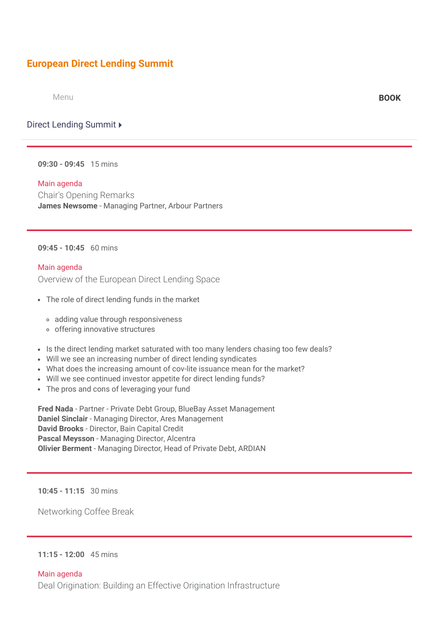# **[European Direct Lending Summit](https://finance.knect365.com/direct-lending-summit/)**

Menu **[BOOK](https://finance.knect365.com/direct-lending-summit/purchase/select-package)**

Direct Lending Summit ▶

**09:30 - 09:45** 15 mins

#### Main agenda

Chair's Opening Remarks **James Newsome** - Managing Partner, Arbour Partners

## **09:45 - 10:45** 60 mins

#### Main agenda

Overview of the European Direct Lending Space

- The role of direct lending funds in the market
	- adding value through responsiveness
	- o offering innovative structures
- Is the direct lending market saturated with too many lenders chasing too few deals?
- Will we see an increasing number of direct lending syndicates
- What does the increasing amount of cov-lite issuance mean for the market?
- Will we see continued investor appetite for direct lending funds?
- The pros and cons of leveraging your fund

**Fred Nada** - Partner - Private Debt Group, BlueBay Asset Management **Daniel Sinclair** - Managing Director, Ares Management **David Brooks** - Director, Bain Capital Credit **Pascal Meysson** - Managing Director, Alcentra **Olivier Berment** - Managing Director, Head of Private Debt, ARDIAN

**10:45 - 11:15** 30 mins

Networking Coffee Break

#### **11:15 - 12:00** 45 mins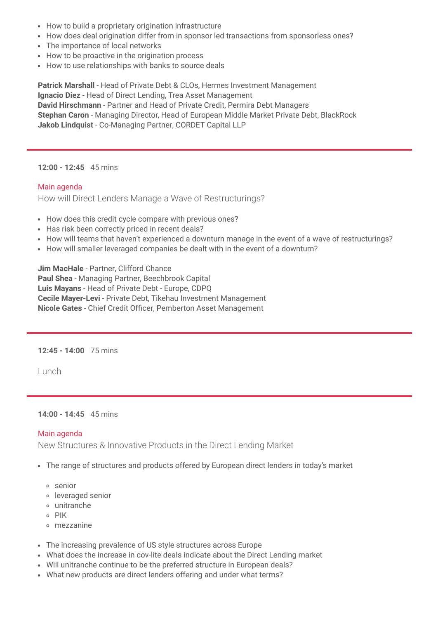- How to build a proprietary origination infrastructure
- How does deal origination differ from in sponsor led transactions from sponsorless ones?
- The importance of local networks
- How to be proactive in the origination process
- How to use relationships with banks to source deals

**Patrick Marshall** - Head of Private Debt & CLOs, Hermes Investment Management **Ignacio Diez** - Head of Direct Lending, Trea Asset Management **David Hirschmann** - Partner and Head of Private Credit, Permira Debt Managers **Stephan Caron** - Managing Director, Head of European Middle Market Private Debt, BlackRock **Jakob Lindquist** - Co-Managing Partner, CORDET Capital LLP

#### **12:00 - 12:45** 45 mins

#### Main agenda

How will Direct Lenders Manage a Wave of Restructurings?

- How does this credit cycle compare with previous ones?
- Has risk been correctly priced in recent deals?
- How will teams that haven't experienced a downturn manage in the event of a wave of restructurings?
- How will smaller leveraged companies be dealt with in the event of a downturn?

**Jim MacHale** - Partner, Clifford Chance **Paul Shea** - Managing Partner, Beechbrook Capital **Luis Mayans** - Head of Private Debt - Europe, CDPQ **Cecile Mayer-Levi** - Private Debt, Tikehau Investment Management Nicole Gates - Chief Credit Officer, Pemberton Asset Management

**12:45 - 14:00** 75 mins

Lunch

## **14:00 - 14:45** 45 mins

## Main agenda

New Structures & Innovative Products in the Direct Lending Market

- The range of structures and products offered by European direct lenders in today's market
	- senior
	- leveraged senior
	- unitranche
	- o PIK
	- mezzanine
- The increasing prevalence of US style structures across Europe
- What does the increase in cov-lite deals indicate about the Direct Lending market
- Will unitranche continue to be the preferred structure in European deals?
- What new products are direct lenders offering and under what terms?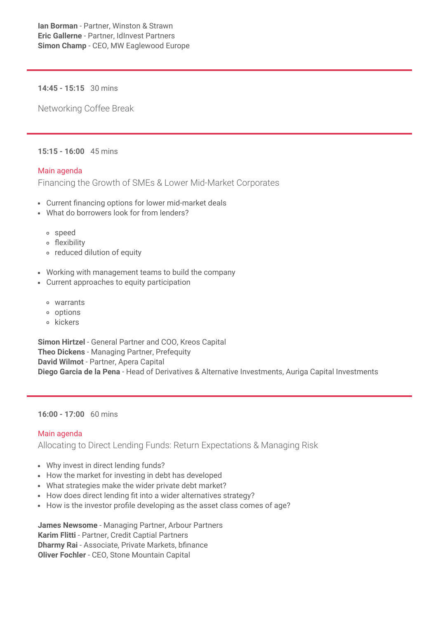**14:45 - 15:15** 30 mins

Networking Coffee Break

# **15:15 - 16:00** 45 mins

# Main agenda

Financing the Growth of SMEs & Lower Mid-Market Corporates

- Current financing options for lower mid-market deals
- What do borrowers look for from lenders?
	- speed
	- exibility
	- reduced dilution of equity
- Working with management teams to build the company
- Current approaches to equity participation
	- warrants
	- options
	- o kickers

**Simon Hirtzel** - General Partner and COO, Kreos Capital **Theo Dickens** - Managing Partner, Prefequity **David Wilmot** - Partner, Apera Capital **Diego Garcia de la Pena** - Head of Derivatives & Alternative Investments, Auriga Capital Investments

## **16:00 - 17:00** 60 mins

# Main agenda

Allocating to Direct Lending Funds: Return Expectations & Managing Risk

- Why invest in direct lending funds?
- How the market for investing in debt has developed
- What strategies make the wider private debt market?
- How does direct lending fit into a wider alternatives strategy?
- How is the investor profile developing as the asset class comes of age?

**James Newsome** - Managing Partner, Arbour Partners **Karim Flitti** - Partner, Credit Captial Partners **Dharmy Rai** - Associate, Private Markets, bfinance **Oliver Fochler** - CEO, Stone Mountain Capital